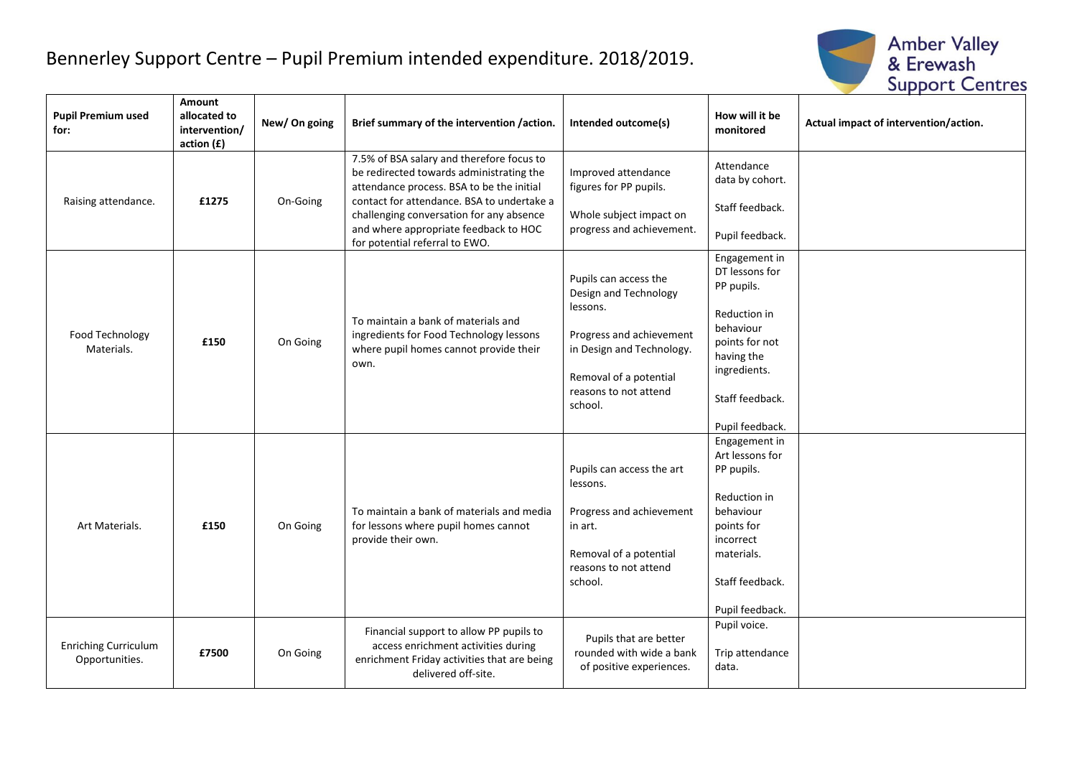## Bennerley Support Centre – Pupil Premium intended expenditure. 2018/2019.



| <b>Pupil Premium used</b><br>for:             | Amount<br>allocated to<br>intervention/<br>action(f) | New/On going | Brief summary of the intervention /action.                                                                                                                                                                                                                                                              | Intended outcome(s)                                                                                                                                                               | How will it be<br>monitored                                                                                                                                      | Actual impact of intervention/action. |
|-----------------------------------------------|------------------------------------------------------|--------------|---------------------------------------------------------------------------------------------------------------------------------------------------------------------------------------------------------------------------------------------------------------------------------------------------------|-----------------------------------------------------------------------------------------------------------------------------------------------------------------------------------|------------------------------------------------------------------------------------------------------------------------------------------------------------------|---------------------------------------|
| Raising attendance.                           | £1275                                                | On-Going     | 7.5% of BSA salary and therefore focus to<br>be redirected towards administrating the<br>attendance process. BSA to be the initial<br>contact for attendance. BSA to undertake a<br>challenging conversation for any absence<br>and where appropriate feedback to HOC<br>for potential referral to EWO. | Improved attendance<br>figures for PP pupils.<br>Whole subject impact on<br>progress and achievement.                                                                             | Attendance<br>data by cohort.<br>Staff feedback.<br>Pupil feedback.                                                                                              |                                       |
| Food Technology<br>Materials.                 | £150                                                 | On Going     | To maintain a bank of materials and<br>ingredients for Food Technology lessons<br>where pupil homes cannot provide their<br>own.                                                                                                                                                                        | Pupils can access the<br>Design and Technology<br>lessons.<br>Progress and achievement<br>in Design and Technology.<br>Removal of a potential<br>reasons to not attend<br>school. | Engagement in<br>DT lessons for<br>PP pupils.<br>Reduction in<br>behaviour<br>points for not<br>having the<br>ingredients.<br>Staff feedback.<br>Pupil feedback. |                                       |
| Art Materials.                                | £150                                                 | On Going     | To maintain a bank of materials and media<br>for lessons where pupil homes cannot<br>provide their own.                                                                                                                                                                                                 | Pupils can access the art<br>lessons.<br>Progress and achievement<br>in art.<br>Removal of a potential<br>reasons to not attend<br>school.                                        | Engagement in<br>Art lessons for<br>PP pupils.<br>Reduction in<br>behaviour<br>points for<br>incorrect<br>materials.<br>Staff feedback.<br>Pupil feedback.       |                                       |
| <b>Enriching Curriculum</b><br>Opportunities. | £7500                                                | On Going     | Financial support to allow PP pupils to<br>access enrichment activities during<br>enrichment Friday activities that are being<br>delivered off-site.                                                                                                                                                    | Pupils that are better<br>rounded with wide a bank<br>of positive experiences.                                                                                                    | Pupil voice.<br>Trip attendance<br>data.                                                                                                                         |                                       |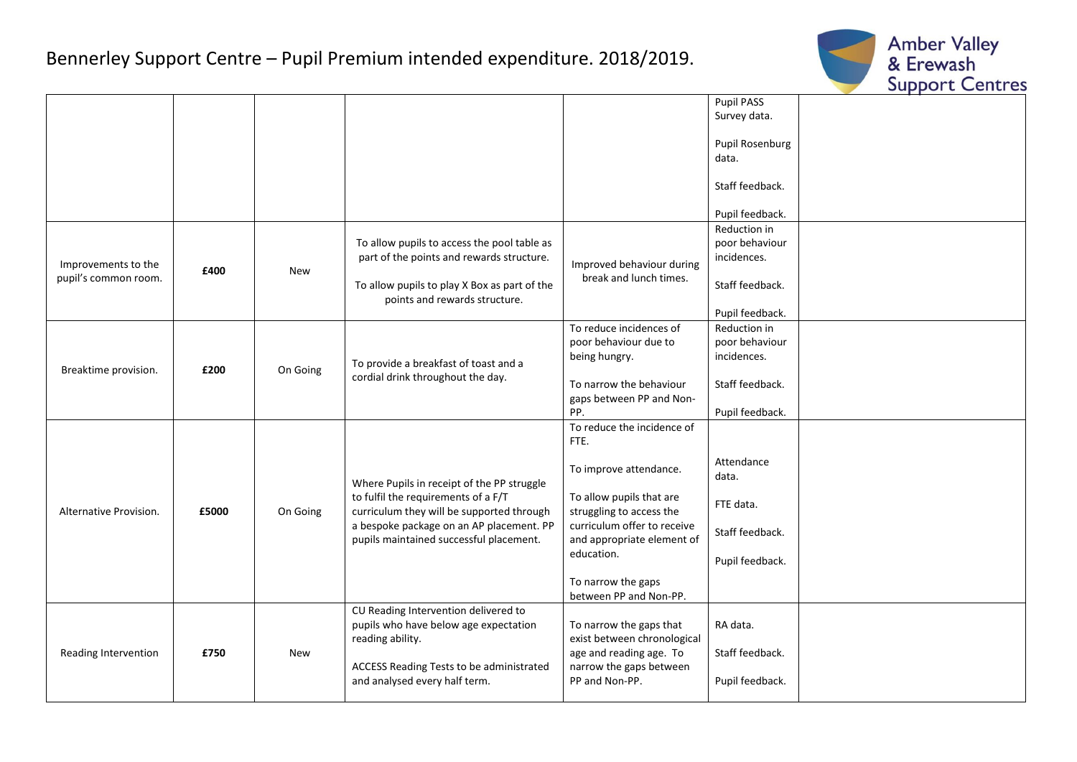## Bennerley Support Centre – Pupil Premium intended expenditure. 2018/2019.



|                        |       |            |                                                                                                                                  |                                                     | Pupil PASS      |  |
|------------------------|-------|------------|----------------------------------------------------------------------------------------------------------------------------------|-----------------------------------------------------|-----------------|--|
|                        |       |            |                                                                                                                                  |                                                     | Survey data.    |  |
|                        |       |            |                                                                                                                                  |                                                     |                 |  |
|                        |       |            |                                                                                                                                  |                                                     | Pupil Rosenburg |  |
|                        |       |            |                                                                                                                                  |                                                     | data.           |  |
|                        |       |            |                                                                                                                                  |                                                     | Staff feedback. |  |
|                        |       |            |                                                                                                                                  |                                                     |                 |  |
|                        |       |            |                                                                                                                                  |                                                     | Pupil feedback. |  |
|                        |       |            |                                                                                                                                  |                                                     | Reduction in    |  |
|                        | £400  | <b>New</b> | To allow pupils to access the pool table as<br>part of the points and rewards structure.                                         | Improved behaviour during<br>break and lunch times. | poor behaviour  |  |
| Improvements to the    |       |            |                                                                                                                                  |                                                     | incidences.     |  |
| pupil's common room.   |       |            |                                                                                                                                  |                                                     |                 |  |
|                        |       |            | To allow pupils to play X Box as part of the                                                                                     |                                                     | Staff feedback. |  |
|                        |       |            | points and rewards structure.                                                                                                    |                                                     | Pupil feedback. |  |
|                        |       |            |                                                                                                                                  | To reduce incidences of                             | Reduction in    |  |
|                        |       | On Going   | To provide a breakfast of toast and a<br>cordial drink throughout the day.                                                       | poor behaviour due to                               | poor behaviour  |  |
|                        | £200  |            |                                                                                                                                  | being hungry.                                       | incidences.     |  |
| Breaktime provision.   |       |            |                                                                                                                                  |                                                     |                 |  |
|                        |       |            |                                                                                                                                  | To narrow the behaviour                             | Staff feedback. |  |
|                        |       |            |                                                                                                                                  | gaps between PP and Non-                            |                 |  |
|                        |       |            |                                                                                                                                  | PP.                                                 | Pupil feedback. |  |
|                        | £5000 | On Going   | Where Pupils in receipt of the PP struggle                                                                                       | To reduce the incidence of                          |                 |  |
|                        |       |            |                                                                                                                                  | FTE.                                                |                 |  |
|                        |       |            |                                                                                                                                  | To improve attendance.                              | Attendance      |  |
|                        |       |            |                                                                                                                                  |                                                     | data.           |  |
|                        |       |            | to fulfil the requirements of a F/T                                                                                              | To allow pupils that are                            |                 |  |
| Alternative Provision. |       |            | curriculum they will be supported through<br>a bespoke package on an AP placement. PP<br>pupils maintained successful placement. | struggling to access the                            | FTE data.       |  |
|                        |       |            |                                                                                                                                  | curriculum offer to receive                         | Staff feedback. |  |
|                        |       |            |                                                                                                                                  | and appropriate element of                          |                 |  |
|                        |       |            |                                                                                                                                  | education.                                          | Pupil feedback. |  |
|                        |       |            |                                                                                                                                  |                                                     |                 |  |
|                        |       |            |                                                                                                                                  | To narrow the gaps<br>between PP and Non-PP.        |                 |  |
|                        |       |            | CU Reading Intervention delivered to                                                                                             |                                                     |                 |  |
| Reading Intervention   | £750  | <b>New</b> | pupils who have below age expectation                                                                                            | To narrow the gaps that                             | RA data.        |  |
|                        |       |            | reading ability.                                                                                                                 | exist between chronological                         |                 |  |
|                        |       |            |                                                                                                                                  | age and reading age. To                             | Staff feedback. |  |
|                        |       |            | ACCESS Reading Tests to be administrated                                                                                         | narrow the gaps between                             |                 |  |
|                        |       |            | and analysed every half term.                                                                                                    | PP and Non-PP.                                      | Pupil feedback. |  |
|                        |       |            |                                                                                                                                  |                                                     |                 |  |